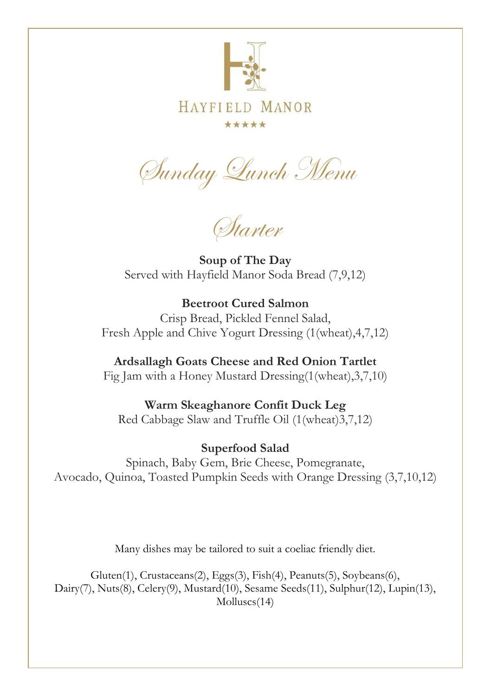

## **HAYFIELD** MANOR \*\*\*\*\*

Sunday Lunch Menu

Starter

**Soup of The Day** Served with Hayfield Manor Soda Bread (7,9,12)

**Beetroot Cured Salmon**  Crisp Bread, Pickled Fennel Salad, Fresh Apple and Chive Yogurt Dressing (1(wheat),4,7,12)

**Ardsallagh Goats Cheese and Red Onion Tartlet** Fig Jam with a Honey Mustard Dressing(1(wheat),3,7,10)

**Warm Skeaghanore Confit Duck Leg**  Red Cabbage Slaw and Truffle Oil (1(wheat)3,7,12)

**Superfood Salad**  Spinach, Baby Gem, Brie Cheese, Pomegranate, Avocado, Quinoa, Toasted Pumpkin Seeds with Orange Dressing (3,7,10,12)

Many dishes may be tailored to suit a coeliac friendly diet.

Gluten(1), Crustaceans(2), Eggs(3), Fish(4), Peanuts(5), Soybeans(6), Dairy(7), Nuts(8), Celery(9), Mustard(10), Sesame Seeds(11), Sulphur(12), Lupin(13), Molluscs(14)